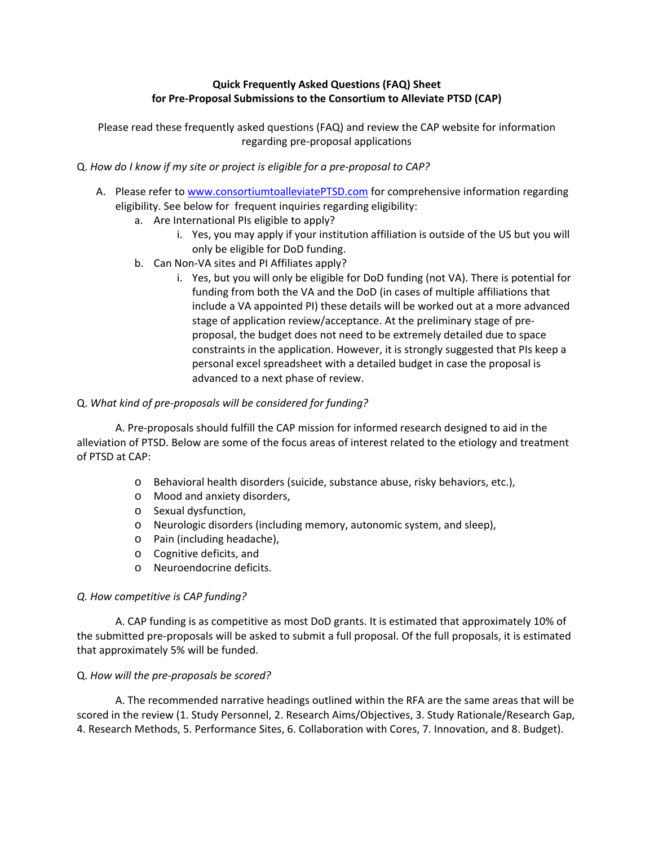# **Quick Frequently Asked Questions (FAQ) Sheet for Pre‐Proposal Submissions to the Consortium to Alleviate PTSD (CAP)**

Please read these frequently asked questions (FAQ) and review the CAP website for information regarding pre‐proposal applications

- Q. *How do I know if my site or project is eligible for a pre‐proposal to CAP?*
	- A. Please refer to www.consortiumtoalleviatePTSD.com for comprehensive information regarding eligibility. See below for frequent inquiries regarding eligibility:
		- a. Are International PIs eligible to apply?
			- i. Yes, you may apply if your institution affiliation is outside of the US but you will only be eligible for DoD funding.
		- b. Can Non‐VA sites and PI Affiliates apply?
			- i. Yes, but you will only be eligible for DoD funding (not VA). There is potential for funding from both the VA and the DoD (in cases of multiple affiliations that include a VA appointed PI) these details will be worked out at a more advanced stage of application review/acceptance. At the preliminary stage of pre‐ proposal, the budget does not need to be extremely detailed due to space constraints in the application. However, it is strongly suggested that PIs keep a personal excel spreadsheet with a detailed budget in case the proposal is advanced to a next phase of review.

### Q. *What kind of pre‐proposals will be considered for funding?*

A. Pre‐proposals should fulfill the CAP mission for informed research designed to aid in the alleviation of PTSD. Below are some of the focus areas of interest related to the etiology and treatment of PTSD at CAP:

- o Behavioral health disorders (suicide, substance abuse, risky behaviors, etc.),
- o Mood and anxiety disorders,
- o Sexual dysfunction,
- o Neurologic disorders (including memory, autonomic system, and sleep),
- o Pain (including headache),
- o Cognitive deficits, and
- o Neuroendocrine deficits.

#### *Q. How competitive is CAP funding?*

A. CAP funding is as competitive as most DoD grants. It is estimated that approximately 10% of the submitted pre‐proposals will be asked to submit a full proposal. Of the full proposals, it is estimated that approximately 5% will be funded.

#### Q. *How will the pre‐proposals be scored?*

A. The recommended narrative headings outlined within the RFA are the same areas that will be scored in the review (1. Study Personnel, 2. Research Aims/Objectives, 3. Study Rationale/Research Gap, 4. Research Methods, 5. Performance Sites, 6. Collaboration with Cores, 7. Innovation, and 8. Budget).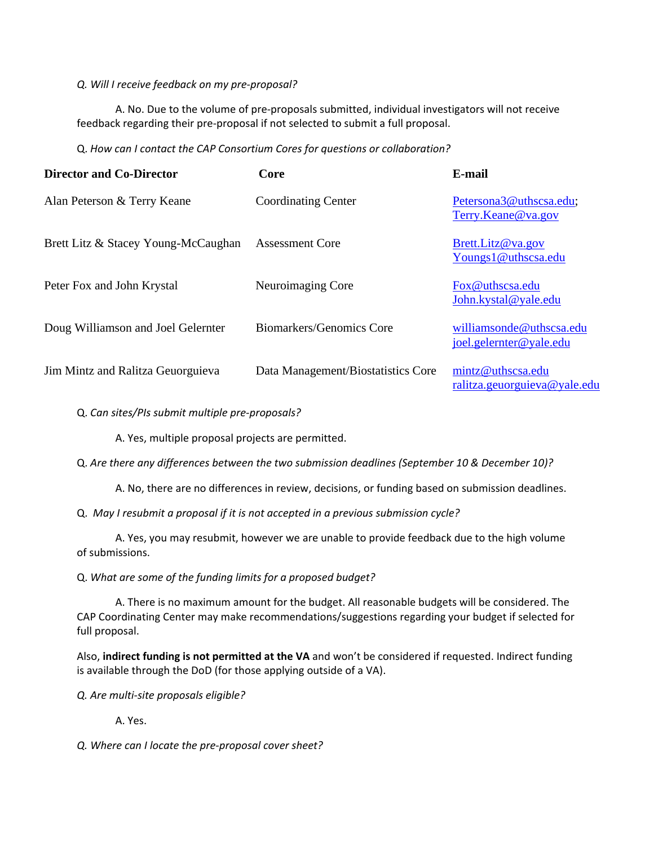## *Q. Will I receive feedback on my pre‐proposal?*

A. No. Due to the volume of pre‐proposals submitted, individual investigators will not receive feedback regarding their pre‐proposal if not selected to submit a full proposal.

Q. *How can I contact the CAP Consortium Cores for questions or collaboration?*

| <b>Director and Co-Director</b>     | Core                               | E-mail                                              |
|-------------------------------------|------------------------------------|-----------------------------------------------------|
| Alan Peterson & Terry Keane         | <b>Coordinating Center</b>         | Petersona3@uthscsa.edu;<br>Terry.Keane@va.gov       |
| Brett Litz & Stacey Young-McCaughan | <b>Assessment Core</b>             | Brett.Litz@va.gov<br>Youngs1@uthscsa.edu            |
| Peter Fox and John Krystal          | Neuroimaging Core                  | Fox@uthscsa.edu<br>John.kystal@yale.edu             |
| Doug Williamson and Joel Gelernter  | Biomarkers/Genomics Core           | williamsonde@uthscsa.edu<br>joel.gelernter@yale.edu |
| Jim Mintz and Ralitza Geuorguieva   | Data Management/Biostatistics Core | mintz@uthscsa.edu<br>ralitza.geuorguieva@yale.edu   |

Q. *Can sites/PIs submit multiple pre‐proposals?*

A. Yes, multiple proposal projects are permitted.

Q. *Are there any differences between the two submission deadlines (September 10 & December 10)?*

A. No, there are no differences in review, decisions, or funding based on submission deadlines.

Q. *May I resubmit a proposal if it is not accepted in a previous submission cycle?*

A. Yes, you may resubmit, however we are unable to provide feedback due to the high volume of submissions.

Q. *What are some of the funding limits for a proposed budget?*

A. There is no maximum amount for the budget. All reasonable budgets will be considered. The CAP Coordinating Center may make recommendations/suggestions regarding your budget if selected for full proposal.

Also, **indirect funding is not permitted at the VA** and won't be considered if requested. Indirect funding is available through the DoD (for those applying outside of a VA).

*Q. Are multi‐site proposals eligible?*

A. Yes.

*Q. Where can I locate the pre‐proposal cover sheet?*